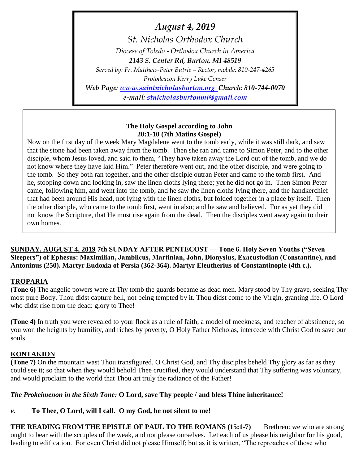*August 4, 2019*

*St. Nicholas Orthodox Church*

*Diocese of Toledo - Orthodox Church in America 2143 S. Center Rd, Burton, MI 48519*

*Served by: Fr. Matthew-Peter Butrie – Rector, mobile: 810-247-4265 Protodeacon Kerry Luke Gonser Web Page: [www.saintnicholasburton.org](http://www.saintnicholasburton.org/) Church: 810-744-0070 e-mail: [stnicholasburtonmi@gmail.com](mailto:stnicholasburtonmi@gmail.com)*

#### **The Holy Gospel according to John 20:1-10 (7th Matins Gospel)**

Now on the first day of the week Mary Magdalene went to the tomb early, while it was still dark, and saw that the stone had been taken away from the tomb. Then she ran and came to Simon Peter, and to the other disciple, whom Jesus loved, and said to them, "They have taken away the Lord out of the tomb, and we do not know where they have laid Him." Peter therefore went out, and the other disciple, and were going to the tomb. So they both ran together, and the other disciple outran Peter and came to the tomb first. And he, stooping down and looking in, saw the linen cloths lying there; yet he did not go in. Then Simon Peter came, following him, and went into the tomb; and he saw the linen cloths lying there, and the handkerchief that had been around His head, not lying with the linen cloths, but folded together in a place by itself. Then the other disciple, who came to the tomb first, went in also; and he saw and believed. For as yet they did not know the Scripture, that He must rise again from the dead. Then the disciples went away again to their own homes.

**SUNDAY, AUGUST 4, 2019 7th SUNDAY AFTER PENTECOST — Tone 6. Holy Seven Youths ("Seven Sleepers") of Ephesus: Maximilian, Jamblicus, Martinian, John, Dionysius, Exacustodian (Constantine), and Antoninus (250). Martyr Eudoxia of Persia (362-364). Martyr Eleutherius of Constantinople (4th c.).**

## **TROPARIA**

**(Tone 6)** The angelic powers were at Thy tomb the guards became as dead men. Mary stood by Thy grave, seeking Thy most pure Body. Thou didst capture hell, not being tempted by it. Thou didst come to the Virgin, granting life. O Lord who didst rise from the dead: glory to Thee!

**(Tone 4)** In truth you were revealed to your flock as a rule of faith, a model of meekness, and teacher of abstinence, so you won the heights by humility, and riches by poverty, O Holy Father Nicholas, intercede with Christ God to save our souls.

## **KONTAKION**

**(Tone 7)** On the mountain wast Thou transfigured, O Christ God, and Thy disciples beheld Thy glory as far as they could see it; so that when they would behold Thee crucified, they would understand that Thy suffering was voluntary, and would proclaim to the world that Thou art truly the radiance of the Father!

## *The Prokeimenon in the Sixth Tone:* **O Lord, save Thy people / and bless Thine inheritance!**

# *v.* **To Thee, O Lord, will I call. O my God, be not silent to me!**

**THE READING FROM THE EPISTLE OF PAUL TO THE ROMANS (15:1-7) Brethren: we who are strong** ought to bear with the scruples of the weak, and not please ourselves. Let each of us please his neighbor for his good, leading to edification. For even Christ did not please Himself; but as it is written, "The reproaches of those who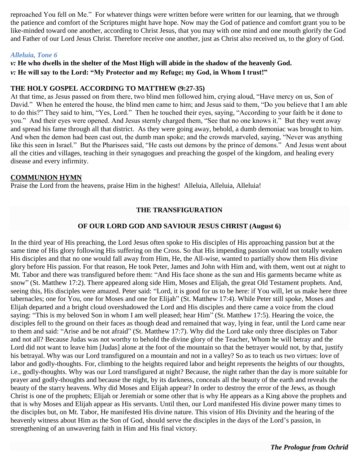reproached You fell on Me." For whatever things were written before were written for our learning, that we through the patience and comfort of the Scriptures might have hope. Now may the God of patience and comfort grant you to be like-minded toward one another, according to Christ Jesus, that you may with one mind and one mouth glorify the God and Father of our Lord Jesus Christ. Therefore receive one another, just as Christ also received us, to the glory of God.

#### *Alleluia, Tone 6*

*v:* **He who dwells in the shelter of the Most High will abide in the shadow of the heavenly God.** *v:* **He will say to the Lord: "My Protector and my Refuge; my God, in Whom I trust!"**

#### **THE HOLY GOSPEL ACCORDING TO MATTHEW (9:27-35)**

At that time, as Jesus passed on from there, two blind men followed him, crying aloud, "Have mercy on us, Son of David." When he entered the house, the blind men came to him; and Jesus said to them, "Do you believe that I am able to do this?" They said to him, "Yes, Lord." Then he touched their eyes, saying, "According to your faith be it done to you." And their eyes were opened. And Jesus sternly charged them, "See that no one knows it." But they went away and spread his fame through all that district. As they were going away, behold, a dumb demoniac was brought to him. And when the demon had been cast out, the dumb man spoke; and the crowds marveled, saying, "Never was anything like this seen in Israel." But the Pharisees said, "He casts out demons by the prince of demons." And Jesus went about all the cities and villages, teaching in their synagogues and preaching the gospel of the kingdom, and healing every disease and every infirmity.

#### **COMMUNION HYMN**

Praise the Lord from the heavens, praise Him in the highest! Alleluia, Alleluia, Alleluia!

## **THE TRANSFIGURATION**

#### **OF OUR LORD GOD AND SAVIOUR JESUS CHRIST (August 6)**

In the third year of His preaching, the Lord Jesus often spoke to His disciples of His approaching passion but at the same time of His glory following His suffering on the Cross. So that His impending passion would not totally weaken His disciples and that no one would fall away from Him, He, the All-wise, wanted to partially show them His divine glory before His passion. For that reason, He took Peter, James and John with Him and, with them, went out at night to Mt. Tabor and there was transfigured before them: "And His face shone as the sun and His garments became white as snow" (St. Matthew 17:2). There appeared along side Him, Moses and Elijah, the great Old Testament prophets. And, seeing this, His disciples were amazed. Peter said: "Lord, it is good for us to be here: if You will, let us make here three tabernacles; one for You, one for Moses and one for Elijah" (St. Matthew 17:4). While Peter still spoke, Moses and Elijah departed and a bright cloud overshadowed the Lord and His disciples and there came a voice from the cloud saying: "This is my beloved Son in whom I am well pleased; hear Him" (St. Matthew 17:5). Hearing the voice, the disciples fell to the ground on their faces as though dead and remained that way, lying in fear, until the Lord came near to them and said: "Arise and be not afraid" (St. Matthew 17:7). Why did the Lord take only three disciples on Tabor and not all? Because Judas was not worthy to behold the divine glory of the Teacher, Whom he will betray and the Lord did not want to leave him [Judas] alone at the foot of the mountain so that the betrayer would not, by that, justify his betrayal. Why was our Lord transfigured on a mountain and not in a valley? So as to teach us two virtues: love of labor and godly-thoughts. For, climbing to the heights required labor and height represents the heights of our thoughts, i.e., godly-thoughts. Why was our Lord transfigured at night? Because, the night rather than the day is more suitable for prayer and godly-thoughts and because the night, by its darkness, conceals all the beauty of the earth and reveals the beauty of the starry heavens. Why did Moses and Elijah appear? In order to destroy the error of the Jews, as though Christ is one of the prophets; Elijah or Jeremiah or some other that is why He appears as a King above the prophets and that is why Moses and Elijah appear as His servants. Until then, our Lord manifested His divine power many times to the disciples but, on Mt. Tabor, He manifested His divine nature. This vision of His Divinity and the hearing of the heavenly witness about Him as the Son of God, should serve the disciples in the days of the Lord's passion, in strengthening of an unwavering faith in Him and His final victory.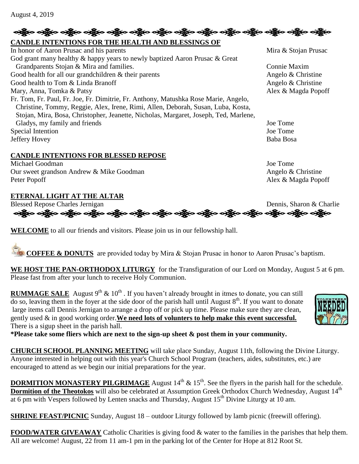## လန္ကြီးေ ခရွိပ္ေခရွိပ္ေခရွိပ္ေခရွိပ္ေခရွိပ္ေခရွိပ္ေခရွိပ္ေခရွိပ္ေခရွိပ္ေခရွိပ္ေခရွိပ္ေခရွိပ္ေခရွိပ္ေခရွိပ္ေခရ **CANDLE INTENTIONS FOR THE HEALTH AND BLESSINGS OF**

| In honor of Aaron Prusac and his parents                                             | Mira & Stojan Prus |
|--------------------------------------------------------------------------------------|--------------------|
| God grant many healthy & happy years to newly baptized Aaron Prusac & Great          |                    |
| Grandparents Stojan & Mira and families.                                             | Connie Maxim       |
| Good health for all our grandchildren & their parents                                | Angelo & Christine |
| Good health to Tom & Linda Branoff                                                   | Angelo & Christine |
| Mary, Anna, Tomka & Patsy                                                            | Alex & Magda Pop   |
| Fr. Tom, Fr. Paul, Fr. Joe, Fr. Dimitrie, Fr. Anthony, Matushka Rose Marie, Angelo,  |                    |
| Christine, Tommy, Reggie, Alex, Irene, Rimi, Allen, Deborah, Susan, Luba, Kosta,     |                    |
| Stojan, Mira, Bosa, Christopher, Jeanette, Nicholas, Margaret, Joseph, Ted, Marlene, |                    |
| Gladys, my family and friends                                                        | Joe Tome           |
| Special Intention                                                                    | Joe Tome           |
| Jeffery Hovey                                                                        | Baba Bosa          |

## **CANDLE INTENTIONS FOR BLESSED REPOSE**

Michael Goodman Joe Tome Our sweet grandson Andrew & Mike Goodman Angelo & Christine Peter Popoff Alex & Magda Popoff

#### **ETERNAL LIGHT AT THE ALTAR**

Blessed Repose Charles Jernigan<br>
estate of the Series of the original Dennis, Sharon & Charlie<br>
estate of the original original original property of the original property of the original property of the original property o

**WELCOME** to all our friends and visitors. Please join us in our fellowship hall.

**COFFEE & DONUTS** are provided today by Mira & Stojan Prusac in honor to Aaron Prusac's baptism.

**WE HOST THE PAN-ORTHODOX LITURGY** for the Transfiguration of our Lord on Monday, August 5 at 6 pm. Please fast from after your lunch to receive Holy Communion.

**RUMMAGE SALE** August 9<sup>th</sup> & 10<sup>th</sup>. If you haven't already brought in itmes to donate, you can still do so, leaving them in the foyer at the side door of the parish hall until August  $8<sup>th</sup>$ . If you want to donate large items call Dennis Jernigan to arrange a drop off or pick up time. Please make sure they are clean, gently used & in good working order.**We need lots of volunters to help make this event successful.** There is a sigup sheet in the parish hall.

**\*Please take some fliers which are next to the sign-up sheet & post them in your community.**

**CHURCH SCHOOL PLANNING MEETING** will take place Sunday, August 11th, following the Divine Liturgy. Anyone interested in helping out with this year's Church School Program (teachers, aides, substitutes, etc.) are encouraged to attend as we begin our initial preparations for the year.

**DORMITION MONASTERY PILGRIMAGE** August 14<sup>th</sup> & 15<sup>th</sup>. See the flyers in the parish hall for the schedule. **Dormition of the Theotokos** will also be celebrated at Assumption Greek Orthodox Church Wednesday, August 14<sup>th</sup> at 6 pm with Vespers followed by Lenten snacks and Thursday, August  $15<sup>th</sup>$  Divine Liturgy at 10 am.

**SHRINE FEAST/PICNIC** Sunday, August 18 – outdoor Liturgy followed by lamb picnic (freewill offering).

**FOOD/WATER GIVEAWAY** Catholic Charities is giving food & water to the families in the parishes that help them. All are welcome! August, 22 from 11 am-1 pm in the parking lot of the Center for Hope at 812 Root St.



k Stojan Prusac

o & Christine & Magda Popoff